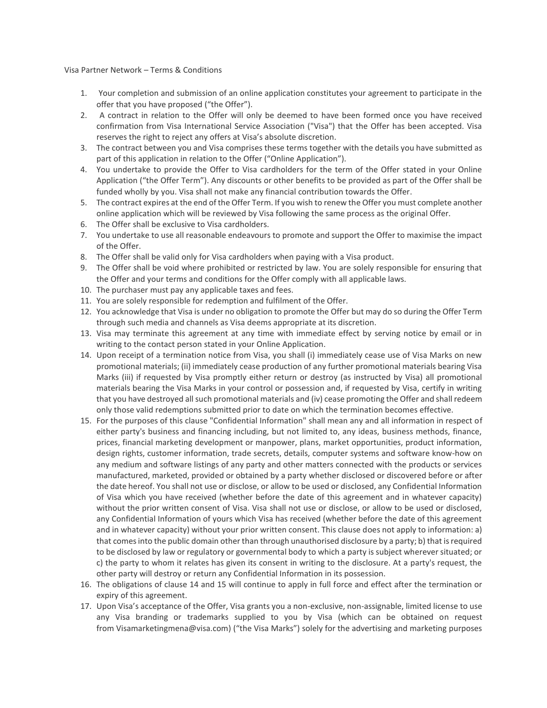Visa Partner Network – Terms & Conditions

- 1. Your completion and submission of an online application constitutes your agreement to participate in the offer that you have proposed ("the Offer").
- 2. A contract in relation to the Offer will only be deemed to have been formed once you have received confirmation from Visa International Service Association ("Visa") that the Offer has been accepted. Visa reserves the right to reject any offers at Visa's absolute discretion.
- 3. The contract between you and Visa comprises these terms together with the details you have submitted as part of this application in relation to the Offer ("Online Application").
- 4. You undertake to provide the Offer to Visa cardholders for the term of the Offer stated in your Online Application ("the Offer Term"). Any discounts or other benefits to be provided as part of the Offer shall be funded wholly by you. Visa shall not make any financial contribution towards the Offer.
- 5. The contract expires at the end of the Offer Term. If you wish to renew the Offer you must complete another online application which will be reviewed by Visa following the same process as the original Offer.
- 6. The Offer shall be exclusive to Visa cardholders.
- 7. You undertake to use all reasonable endeavours to promote and support the Offer to maximise the impact of the Offer.
- 8. The Offer shall be valid only for Visa cardholders when paying with a Visa product.
- 9. The Offer shall be void where prohibited or restricted by law. You are solely responsible for ensuring that the Offer and your terms and conditions for the Offer comply with all applicable laws.
- 10. The purchaser must pay any applicable taxes and fees.
- 11. You are solely responsible for redemption and fulfilment of the Offer.
- 12. You acknowledge that Visa is under no obligation to promote the Offer but may do so during the Offer Term through such media and channels as Visa deems appropriate at its discretion.
- 13. Visa may terminate this agreement at any time with immediate effect by serving notice by email or in writing to the contact person stated in your Online Application.
- 14. Upon receipt of a termination notice from Visa, you shall (i) immediately cease use of Visa Marks on new promotional materials; (ii) immediately cease production of any further promotional materials bearing Visa Marks (iii) if requested by Visa promptly either return or destroy (as instructed by Visa) all promotional materials bearing the Visa Marks in your control or possession and, if requested by Visa, certify in writing that you have destroyed all such promotional materials and (iv) cease promoting the Offer and shall redeem only those valid redemptions submitted prior to date on which the termination becomes effective.
- 15. For the purposes of this clause "Confidential Information" shall mean any and all information in respect of either party's business and financing including, but not limited to, any ideas, business methods, finance, prices, financial marketing development or manpower, plans, market opportunities, product information, design rights, customer information, trade secrets, details, computer systems and software know-how on any medium and software listings of any party and other matters connected with the products or services manufactured, marketed, provided or obtained by a party whether disclosed or discovered before or after the date hereof. You shall not use or disclose, or allow to be used or disclosed, any Confidential Information of Visa which you have received (whether before the date of this agreement and in whatever capacity) without the prior written consent of Visa. Visa shall not use or disclose, or allow to be used or disclosed, any Confidential Information of yours which Visa has received (whether before the date of this agreement and in whatever capacity) without your prior written consent. This clause does not apply to information: a) that comes into the public domain other than through unauthorised disclosure by a party; b) that is required to be disclosed by law or regulatory or governmental body to which a party is subject wherever situated; or c) the party to whom it relates has given its consent in writing to the disclosure. At a party's request, the other party will destroy or return any Confidential Information in its possession.
- 16. The obligations of clause 14 and 15 will continue to apply in full force and effect after the termination or expiry of this agreement.
- 17. Upon Visa's acceptance of the Offer, Visa grants you a non-exclusive, non-assignable, limited license to use any Visa branding or trademarks supplied to you by Visa (which can be obtained on request from [Visamarketingmena@visa.com](mailto:Visamarketingmena@visa.com)) ("the Visa Marks") solely for the advertising and marketing purposes